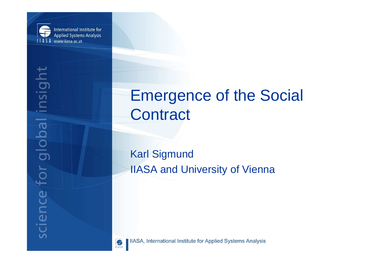

International Institute for **Applied Systems Analysis** www.ijasa.ac.at

## Emergence of the Social **Contract**

#### Karl Sigmund**IIASA and University of Vienna**



IlASA, International Institute for Applied Systems Analysis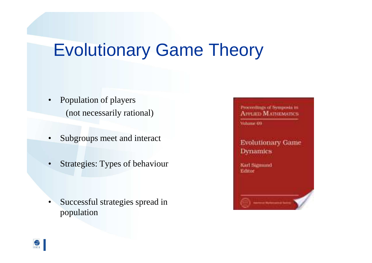# Evolutionary Game Theory

- • Population of players(not necessarily rational)
- •Subgroups meet and interact
- •Strategies: Types of behaviour

• Successful strategies spread in population

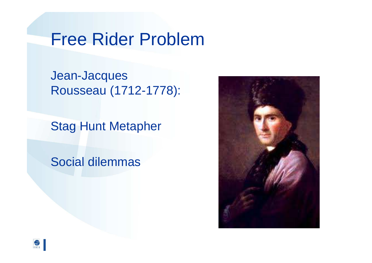## Free Rider Problem

Jean-Jacques Rousseau (1712-1778):

Stag Hunt Metapher

Social dilemmas

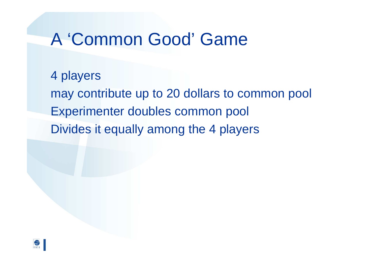## A 'Common Good' Game

4 playersmay contribute up to 20 dollars to common poolExperimenter doubles common poolDivides it equally among the 4 players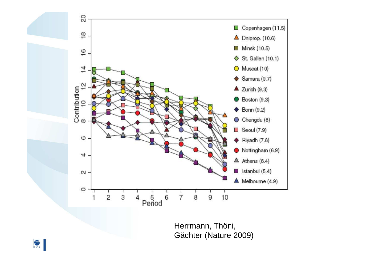

Herrmann, Thöni,Gächter (Nature 2009)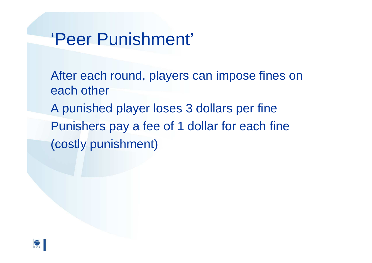## 'Peer Punishment'

After each round, players can impose fines on each otherA punished player loses 3 dollars per finePunishers pay a fee of 1 dollar for each fine(costly punishment)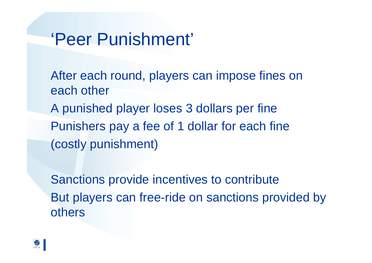## 'Peer Punishment'

After each round, players can impose fines on each otherA punished player loses 3 dollars per finePunishers pay a fee of 1 dollar for each fine(costly punishment)

Sanctions provide incentives to contributeBut players can free-ride on sanctions provided by others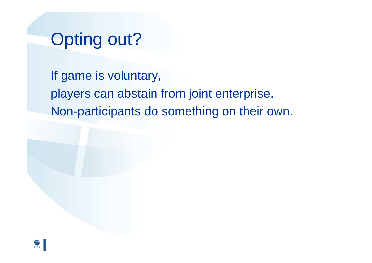## Opting out?

If game is voluntary,players can abstain from joint enterprise.Non-participants do something on their own.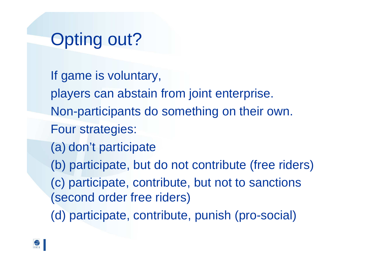## Opting out?

If game is voluntary,players can abstain from joint enterprise.Non-participants do something on their own.Four strategies:(a) don't participate(b) participate, but do not contribute (free riders)(c) participate, contribute, but not to sanctions (second order free riders)(d) participate, contribute, punish (pro-social)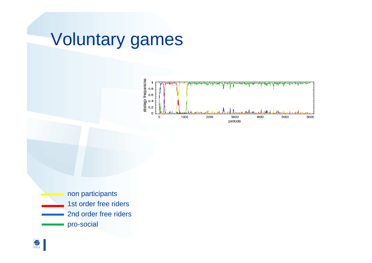## Voluntary games



non participants 1st order free riders 2nd order free riderspro-social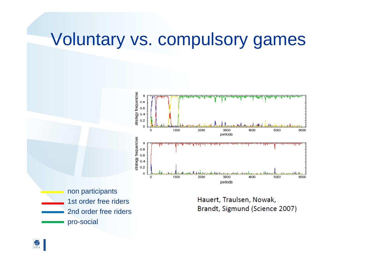## Voluntary vs. compulsory games



non participants 1st order free riders2nd order free riderspro-social

Hauert, Traulsen, Nowak, Brandt, Sigmund (Science 2007)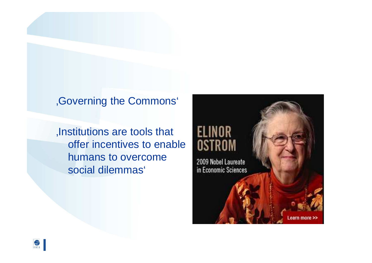#### 'Governing the Commons'

, Institutions are tools that offer incentives to enablehumans to overcomesocial dilemmas'

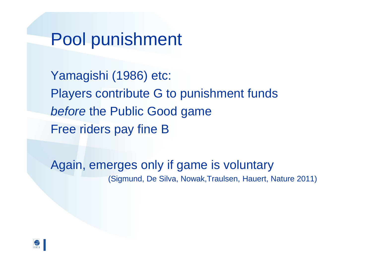## Pool punishment

Yamagishi (1986) etc: Players contribute G to punishment fundsbefore the Public Good game Free riders pay fine B

Again, emerges only if game is voluntary(Sigmund, De Silva, Nowak,Traulsen, Hauert, Nature 2011)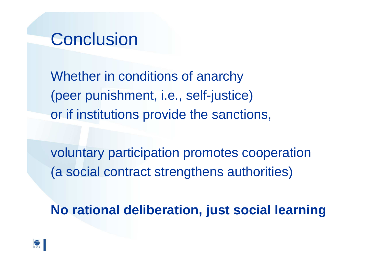## **Conclusion**

Whether in conditions of anarchy(peer punishment, i.e., self-justice)or if institutions provide the sanctions,

voluntary participation promotes cooperation (a social contract strengthens authorities)

**No rational deliberation, just social learning**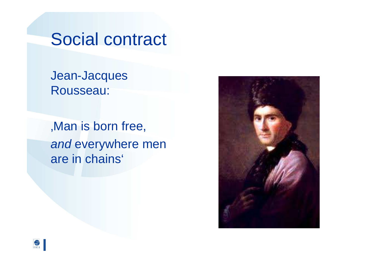## Social contract

Jean-Jacques Rousseau:

, Man is born free, and everywhere men are in chains'

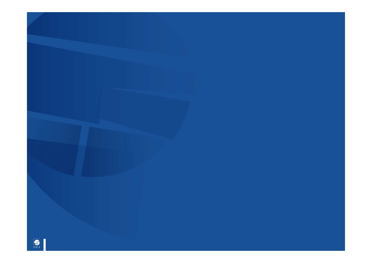